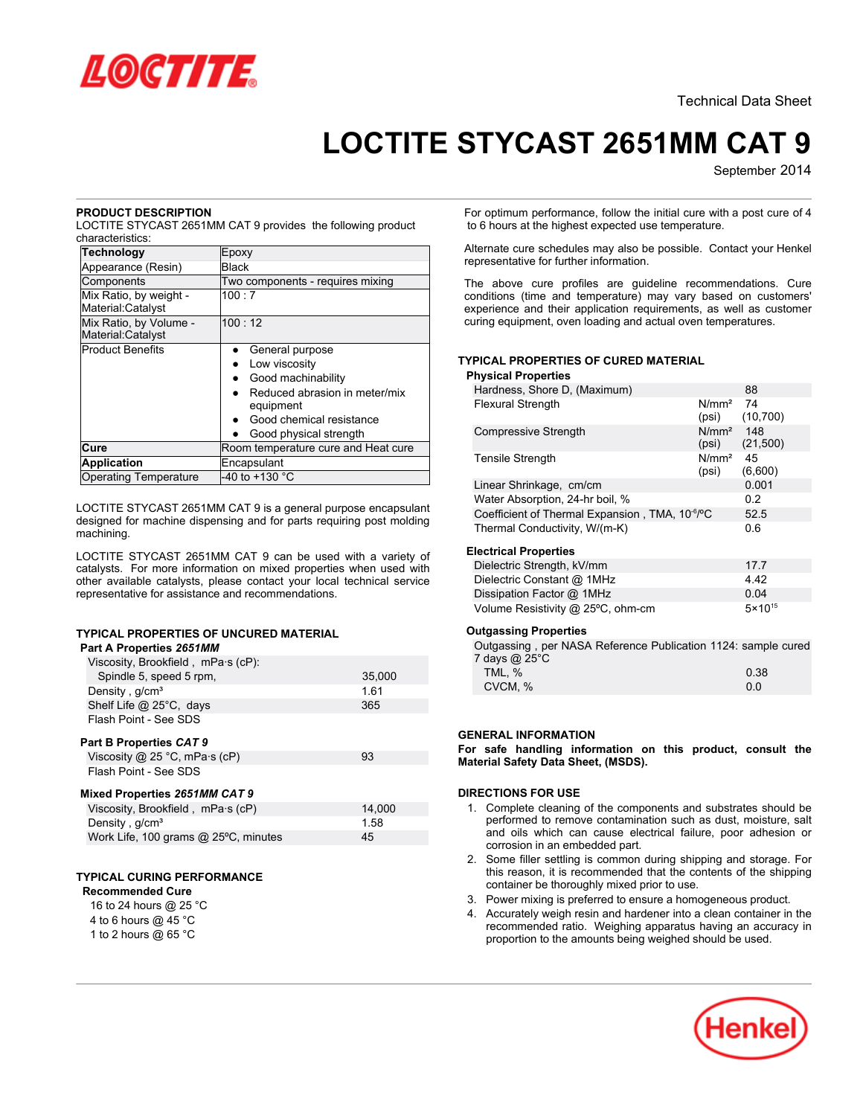

# **LOCTITE STYCAST 2651MM CAT 9**

September 2014

# **PRODUCT DESCRIPTION**

LOCTITE STYCAST 2651MM CAT 9 provides the following product characteristics:

| <b>Technology</b>                           | Epoxy                                      |  |
|---------------------------------------------|--------------------------------------------|--|
| Appearance (Resin)                          | <b>Black</b>                               |  |
| Components                                  | Two components - requires mixing           |  |
| Mix Ratio, by weight -<br>Material:Catalyst | 100:7                                      |  |
| Mix Ratio, by Volume -<br>Material:Catalyst | 100:12                                     |  |
| <b>Product Benefits</b>                     | General purpose                            |  |
|                                             | Low viscosity                              |  |
|                                             | Good machinability                         |  |
|                                             | Reduced abrasion in meter/mix<br>equipment |  |
|                                             | Good chemical resistance                   |  |
|                                             | Good physical strength                     |  |
| Cure                                        | Room temperature cure and Heat cure        |  |
| <b>Application</b>                          | Encapsulant                                |  |
| <b>Operating Temperature</b>                | -40 to +130 $^{\circ}$ C                   |  |

LOCTITE STYCAST 2651MM CAT 9 is a general purpose encapsulant designed for machine dispensing and for parts requiring post molding machining.

LOCTITE STYCAST 2651MM CAT 9 can be used with a variety of catalysts. For more information on mixed properties when used with other available catalysts, please contact your local technical service representative for assistance and recommendations.

# **TYPICAL PROPERTIES OF UNCURED MATERIAL**

| Part A Properties 2651MM                |        |
|-----------------------------------------|--------|
| Viscosity, Brookfield, mPa·s (cP):      |        |
| Spindle 5, speed 5 rpm,                 | 35,000 |
| Density, g/cm <sup>3</sup>              | 1.61   |
| Shelf Life @ 25°C, days                 | 365    |
| Flash Point - See SDS                   |        |
| Part B Properties CAT 9                 |        |
| Viscosity $@$ 25 °C, mPa $\cdot$ s (cP) | 93     |
| Flash Point - See SDS                   |        |

# **Mixed Properties** *2651MM CAT 9*

| Viscosity, Brookfield, mPa.s (cP)    | 14.000 |  |  |  |
|--------------------------------------|--------|--|--|--|
| Density, $q/cm3$                     | 1.58   |  |  |  |
| Work Life, 100 grams @ 25°C, minutes | 45     |  |  |  |

# **TYPICAL CURING PERFORMANCE**

# **Recommended Cure**

16 to 24 hours @ 25 °C 4 to 6 hours @ 45 °C

|  | $\cdots$             |  |  |
|--|----------------------|--|--|
|  | 1 to 2 hours @ 65 °C |  |  |

For optimum performance, follow the initial cure with a post cure of 4 to 6 hours at the highest expected use temperature.

Alternate cure schedules may also be possible. Contact your Henkel representative for further information.

The above cure profiles are guideline recommendations. Cure conditions (time and temperature) may vary based on customers' experience and their application requirements, as well as customer curing equipment, oven loading and actual oven temperatures.

# **TYPICAL PROPERTIES OF CURED MATERIAL**

## **Physical Properties**

| Hardness, Shore D, (Maximum)                                |                            | 88               |
|-------------------------------------------------------------|----------------------------|------------------|
| <b>Flexural Strength</b>                                    | N/mm <sup>2</sup><br>(psi) | -74<br>(10, 700) |
| <b>Compressive Strength</b>                                 | N/mm <sup>2</sup><br>(psi) | 148<br>(21,500)  |
| <b>Tensile Strength</b>                                     | N/mm <sup>2</sup><br>(psi) | 45<br>(6,600)    |
| Linear Shrinkage, cm/cm                                     |                            | 0.001            |
| Water Absorption, 24-hr boil, %                             |                            | 0.2              |
| Coefficient of Thermal Expansion, TMA, 10 <sup>-6</sup> /°C |                            | 52.5             |
| Thermal Conductivity, W/(m-K)                               |                            | 0.6              |
| <b>Electrical Properties</b>                                |                            |                  |
| Dielectric Strength, kV/mm                                  |                            | 17.7             |
| Dielectric Constant @ 1MHz                                  |                            | 4.42             |
| Dissipation Factor @ 1MHz                                   |                            | 0.04             |

## **Outgassing Properties**

| Outgassing, per NASA Reference Publication 1124: sample cured |      |
|---------------------------------------------------------------|------|
| 7 days @ 25°C                                                 |      |
| TML. %                                                        | 0.38 |
| CVCM, %                                                       | 0 O  |

Volume Resistivity @ 25°C, ohm-cm 5×10<sup>15</sup>

# **GENERAL INFORMATION**

**For safe handling information on this product, consult the Material Safety Data Sheet, (MSDS).**

## **DIRECTIONS FOR USE**

- 1. Complete cleaning of the components and substrates should be performed to remove contamination such as dust, moisture, salt and oils which can cause electrical failure, poor adhesion or corrosion in an embedded part.
- 2. Some filler settling is common during shipping and storage. For this reason, it is recommended that the contents of the shipping container be thoroughly mixed prior to use.
- 3. Power mixing is preferred to ensure a homogeneous product.
- 4. Accurately weigh resin and hardener into a clean container in the recommended ratio. Weighing apparatus having an accuracy in proportion to the amounts being weighed should be used.